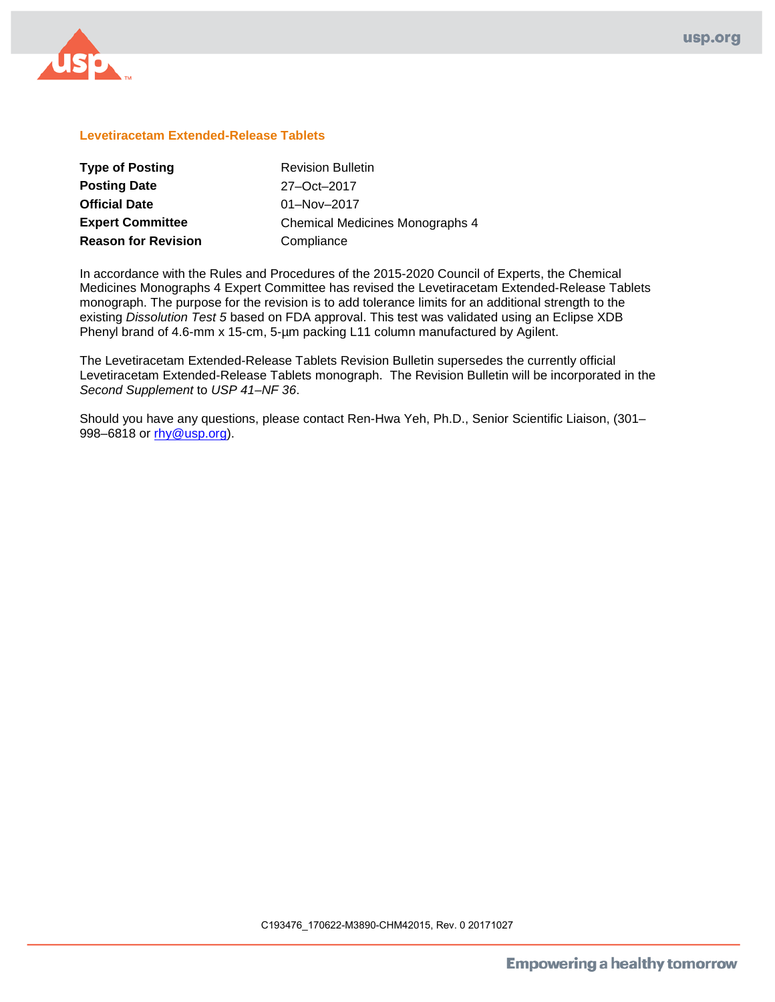

### **Levetiracetam Extended-Release Tablets**

| <b>Type of Posting</b>     | <b>Revision Bulletin</b>        |
|----------------------------|---------------------------------|
| <b>Posting Date</b>        | 27-Oct-2017                     |
| <b>Official Date</b>       | $01 - Nov - 2017$               |
| <b>Expert Committee</b>    | Chemical Medicines Monographs 4 |
| <b>Reason for Revision</b> | Compliance                      |

In accordance with the Rules and Procedures of the 2015-2020 Council of Experts, the Chemical Medicines Monographs 4 Expert Committee has revised the Levetiracetam Extended-Release Tablets monograph. The purpose for the revision is to add tolerance limits for an additional strength to the existing *Dissolution Test 5* based on FDA approval. This test was validated using an Eclipse XDB Phenyl brand of 4.6-mm x 15-cm, 5-µm packing L11 column manufactured by Agilent.

The Levetiracetam Extended-Release Tablets Revision Bulletin supersedes the currently official Levetiracetam Extended-Release Tablets monograph. The Revision Bulletin will be incorporated in the *Second Supplement* to *USP 41–NF 36*.

Should you have any questions, please contact Ren-Hwa Yeh, Ph.D., Senior Scientific Liaison, (301– 998–6818 or [rhy@usp.org\)](mailto:RHY@usp.org).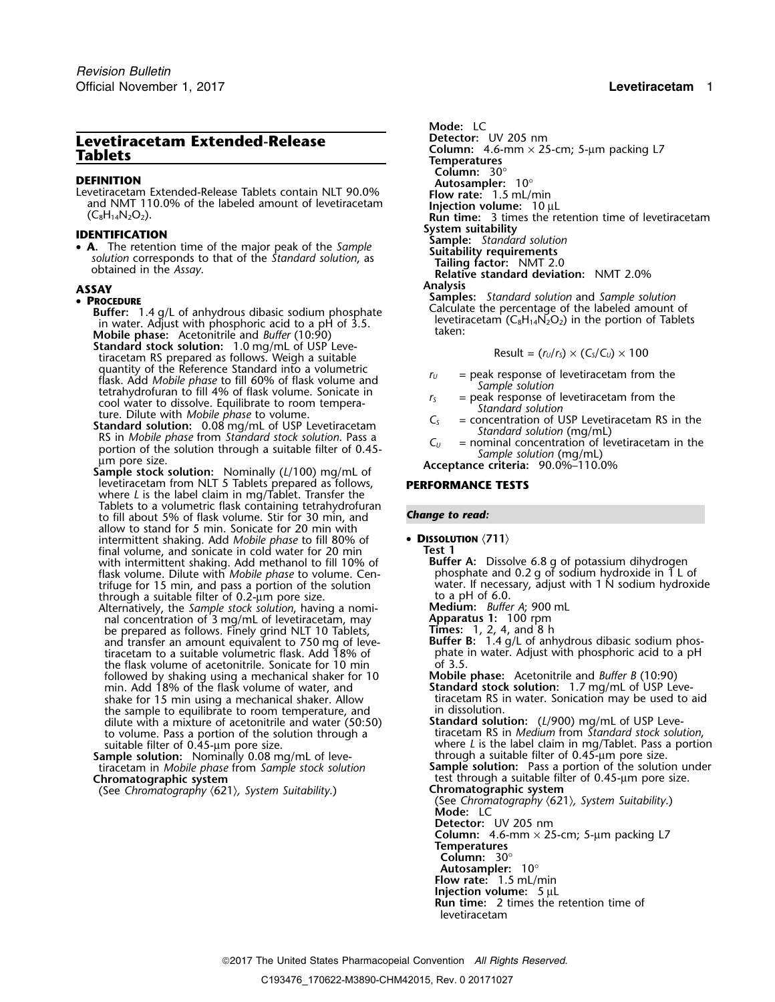# **Levetiracetam Extended-Release**

**DEFINITION**<br>
Levetiracetam Extended-Release Tablets contain NLT 90.0% **Flow rate:** 1.5 mL/min and NMT 110.0% of the labeled amount of levetiracetam **Injection volume:** 10 µL<br>
(C<sub>8</sub>H<sub>14</sub>N<sub>2</sub>O<sub>2</sub>). **INS INS INS INS**

**System suitability**<br> **• A.** The retention time of the major peak of the Sample **Sample:** *Standard solution*<br> *Suitability requirements*<br> *Suitability requirements* Solution corresponds to that of the Standard solution, as<br>obtained in the Assay.<br>Relative standard deviation: NMT 2.0%

- **Buffer:** 1.4 g/L of anhydrous dibasic sodium phosphate Calculate the percentage of the labeled amount of in water. Adjust with phosphoric acid to a pH of 3.5.<br>in water. Adjust with phosphoric acid to a pH of 3.5.<br>Additio **Mobile phase:** taken: Acetonitrile and *Buffer* (10:90)
- **Standard stock solution:** 1.0 mg/mL of USP Leve-<br>tiracetam RS prepared as follows. Weigh a suitable  $r = \frac{R}{2}$  Result =  $\frac{r_u}{r_s} \times \frac{C_s}{C_u} \times 100$ quantity of the Reference Standard into a volumetric<br>
flask. Add *Mobile phase* to fill 60% of flask volume and<br>
tetrahydrofuran to fill 4% of flask volume. Sonicate in<br>
colo water to dissolve. Equilibrate to room tempera
- 
- Sample stock solution: Nominally (L/100) mg/mL of<br>levetiracetam from NLT 5 Tablets prepared as follows, **PERFORMANCE TESTS** where *L* is the label claim in mg/Tablet. Transfer the Tablets to a volumetric flask containing tetrahydrofuran *Change to read:* to fill about 5% of flask volume. Stir for 30 min, and allow to stand for 5 min. Sonicate for 20 min with intermittent shaking. Add *Mobile phase* to fill 80% of • **<sup>D</sup>ISSOLUTION** 〈**711**〉 final volume, and sonicate in cold water for 20 min **Test 1** with intermittent shaking. Add methanol to fill 10% of **Buffer A:** Dissolve 6.8 g of potassium dihydrogen flask volume. Dilute with *Mobile phase* to volume. Cen-<br>flask volume. Dilute with *Mobile phase* to volume. Cen- ph flask volume. Dilute with *Mobile phase* to volume. Cen- <sup>p</sup>hosphate and 0.2 g of sodium hydroxide in 1 L of through a suitable filter of 0.2-um pore size.<br>Alternatively, the *Sample stock solution*, having a nomi-**Nedium:** *Buffer A;* 900 mL
- Alternatively, the *Sample stock solution*, having a nomi- **Medium:** *Buffer A*; 900 mL nal concentration of 3 mg/mL of levetiracetam, may **Apparatus 1:** 100 rpm be prepared as follows. Finely grind NLT 10 Tablets, and transfer an amount equivalent to 750 mg of levetiracetam to a suitable volumetric flask. Add 18% of the flask volume of acetonitrile. Sonicate for 10 min of 3.5 followed by shaking using a mechanical shaker for 10 **Mobile phase:** Acetonitrile and *Buffer B* (10:90) min. Add 18% of the flask volume of water, and **Standard stock solution:** 1.7 mg/mL of USP Leveshake for 15 min using a mechanical shaker. Allow tiracetam RS in the sample to equilibrate to room temperature, and the sample to equilibrate to room temperature, and dilute with a mixture of acetonitrile and water (50:50) to volume. Pass a portion of the solution through a time of acetonitrile and water (50:50) **Standard solution:** (L/900) mg/mL of USP Leve-<br>to volume. Pass a portion of the solution through a tiracetam RS in *Medium* from
- **Sample solution:** Nominally 0.08 mg/mL of leve-<br>tiracetam in Mobile phase from Sample stock solution Sample solution: Nominally 0.08 mg/mL of leve-<br>tiracetam in *Mobile phase* from *Sample stock solution*<br>**Sample solution:** Pass a portion of the solution under<br>**Chromatographic system**<br>**Chromatographic system**<br>**Chromatogra**

(See Chromatography  $(621)$ , System Suitability.)

Mode: LC<br>Detector: UV 205 nm **Column:** 4.6-mm × 25-cm; 5-µm packing L7 **Tablets Temperatures Column:** 30° **Run time:** 3 times the retention time of levetiracetam **ASSAY Analysis SASAY**<br>• **PROCEDURE**<br>**Ruffer:** 14 g/L of anbydrous dibasic sodium phosphate **Samples:** *Standard solution* and *Sample solution*<br>Calculate the percentage of the labeled amount of

$$
Result = (r_U/r_S) \times (C_S/C_U) \times 100
$$

- 
- 
- 
- 

trifuge for 15 min, and pass a portion of the solution water. If necessary, adjust with 1 N sodium hydroxide

Figure 2. 4, and 8 h<br>**Buffer B:** 1.4 g/L of anhydrous dibasic sodium phos-<br>phate in water. Adjust with phosphoric acid to a pH

- 
- where *L* is the label claim in mg/Tablet. Pass a portion

test through a suitable filter of 0.45-µm pore size.<br>Chromatographic system

(See *Chromatography* 〈621〉*, System Suitability*.) **Mode:** LC **Detector:** UV 205 nm

**Column:** 4.6-mm × 25-cm; 5-µm packing L7 **Temperatures**

**Column:** 30°

- 
- **Autosampler:** 10° **Flow rate:** 1.5 mL/min
- **Injection volume:** 5 µL

**Run time:** 2 times the retention time of levetiracetam

2017 The United States Pharmacopeial Convention *All Rights Reserved.*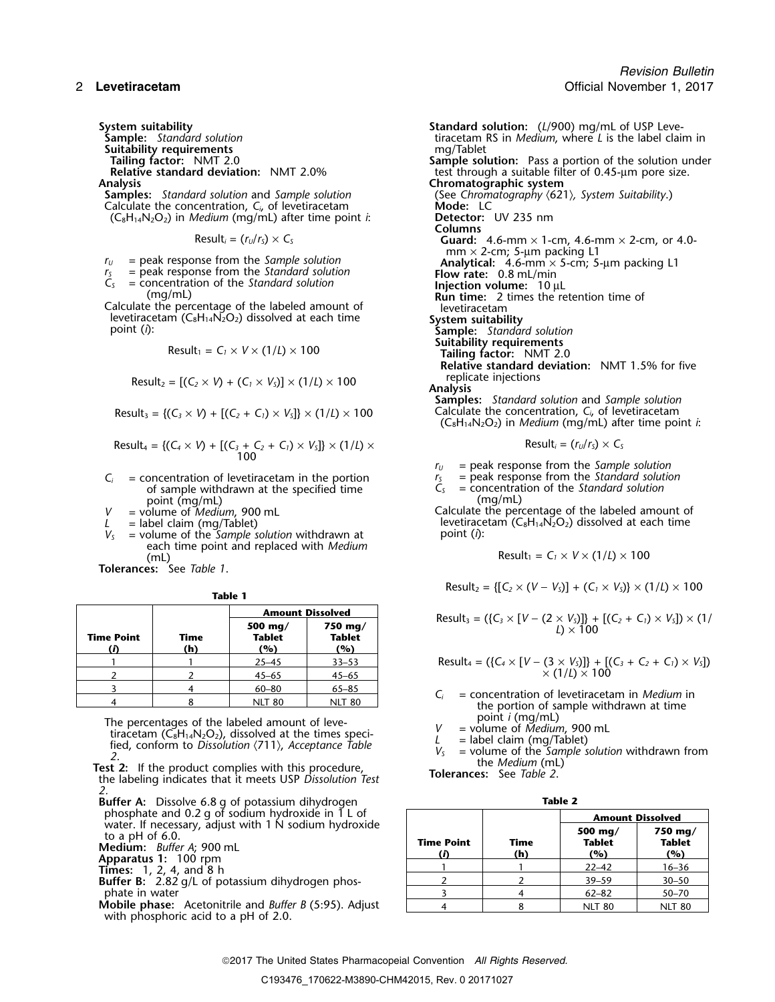**Suitability requirements<br>Tailing factor: NMT 2.0** 

**Samples:** *Standard solution* and *Sample solution* Calculate the concentration,  $C_i$  of levetiracetam **Mode:** LC **Mode:** LC **Mode:** LC **C**<sub>8</sub>H<sub>14</sub>N<sub>2</sub>O<sub>2</sub>) in *Medium* (mg/mL) after time point *i*: **Detector:** UV 235 nm  $(C_8H_{14}N_2O_2)$  in *Medium* (mg/mL) after time point *i*:

$$
Result_i = (r_U/r_S) \times C_S
$$

- 
- 
- -
- Calculate the percentage of the labeled amount of levetiracetam levetiracetam (C<sub>8</sub>H<sub>14</sub>N<sub>2</sub>O<sub>2</sub>) dissolved at each time **System suitability**<br>point (i): **Sample:** Standar

$$
Result_1 = C_1 \times V \times (1/L) \times 100
$$

Result<sub>2</sub> = 
$$
[(C_2 \times V) + (C_1 \times V_5)] \times (1/l) \times 100
$$
 replicate injections

$$
Result_3 = \{ (C_3 \times V) + [(C_2 + C_1) \times V_5] \} \times (1/L) \times 100
$$

Result<sub>4</sub> = {
$$
(C_4 \times V)
$$
 + [ $(C_3 + C_2 + C_1) \times V_5$ ]  $\times$  (1/*L*)  $\times$   
100

- $C_i$  = concentration of levetiracetam in the portion  $C_5$  = peak response from the *Standard solution* of sample withdrawn at the specified time  $C_5$  = concentration of the *Standard solution* of sample withdrawn at the specified time *C<sub>S</sub>* = concentration of the *S* concentration of the *S* concentration of the *S*
- point (mg/mL)<br>= volume of *Medium*, 900 mL
- 
- *<sup>V</sup>* point (*i*): *<sup>S</sup>* = volume of the *Sample solution* withdrawn at each time point and replaced with *Medium* (mL)  $\qquad \qquad \mathsf{Result_1 = C_1 \times V \times (1/l) \times 100}$

**Tolerances:** See *Table 1*.

|--|--|

| <b>Amount Dissolved</b> |             |                          |                                   |                                                                                                                        |
|-------------------------|-------------|--------------------------|-----------------------------------|------------------------------------------------------------------------------------------------------------------------|
| Time Point              | Time<br>(h) | 500 mg/<br>Tablet<br>(%) | $750 \text{ ma}$<br>Tablet<br>(%) | Result <sub>3</sub> = $({C_3} \times [V - (2 \times V_5)])$ + $[(C_2 + C_1) \times V_5]) \times (1)$<br>$I \times 100$ |
|                         |             | $25 - 45$                | $33 - 53$                         | Result <sub>4</sub> = $({C_4} \times [V - (3 \times V_S)]) + [(C_3 + C_2 + C_1) \times V_S])$                          |
|                         |             | $45 - 65$                | $45 - 65$                         | $\times$ (1/L) $\times$ 100                                                                                            |
|                         |             | $60 - 80$                | $65 - 85$                         | $=$ concentration of levetiracetam in <i>Medium</i> in                                                                 |
|                         |             | NIT 80                   | NIT 80                            | المتحملة القامي ومستحمله والقائدة والمستحدث فالمراجع والمستحدث والملقا                                                 |

The percentages of the labeled amount of leve-<br>tiracetam (C<sub>8</sub>H<sub>14</sub>N<sub>2</sub>O<sub>2</sub>), dissolved at the times speci-<br>fied, conform to Dissolution (711), Acceptance Table<br>2.<br>**Test 2:** If the product complies with this procedure,<br>th

*2.*

- **Buffer A:** Dissolve 6.8 g of potassium dihydrogen **Table 2**
- 
- 

**Mobile phase:** Acetonitrile and *Buffer B* (5:95). Adjust with phosphoric acid to a pH of 2.0.

*Revision Bulletin* 2 **Levetiracetam** Official November 1, 2017

**System suitability**<br>**Standard solution**<br>**Standard solution**<br>**Standard solution**<br>**Standard solution**<br>**Standard Standard Solution**<br>**Standard Standard Standard Standard Standard Standard Standard Standard Standard Standard S** tiracetam RS in *Medium*, where *L* is the label claim in mg/Tablet **Tailing factor:** NMT 2.0 **Sample solution:** Pass a portion of the solution under **Relative standard deviation:** NMT 2.0% test through a suitable filter of 0.45-µm pore size. Analysis<br> **Samples:** Standard solution and Sample solution<br>
Calculate the concentration, C<sub>i</sub>, of levetiracetam<br> **Calculate the concentration, C**<sub>i</sub>, of levetiracetam<br> **Mode:** LC **Columns** Guard:  $4.6$ -mm  $\times$  1-cm,  $4.6$ -mm  $\times$  2-cm, or  $4.0$ mm  $\times$  2-cm; 5-µm packing L1  $r_U$  = peak response from the *Sample solution*<br>  $r_S$  = peak response from the *Standard solution*<br> **Analytical:** 4.6-mm × 5-cm; 5-µm packing L1<br> **Flow rate:** 0.8 mL/min  $r_s$  = peak response from the *Standard solution* **Flow rate:** 0.8 mL/min *C<sub>S</sub>* = concentration of the *Standard solution* **Injection volume:** 10 µL (mg/mL) **Instandant injection volume:** 10 µL **Run time:** 2 times the retention time of  $\delta$ ample: *Standard solution*<br>Suitability requirements  $(T/L) \times 100$  **Tailing factor:** NMT 2.0 **Relative standard deviation:** NMT 1.5% for five **Samples:** *Standard solution* and *Sample solution* Calculate the concentration,  $C_i$ , of levetiracetam (C8H14N2O2) in *Medium* (mg/mL) after time point *i*:  $Result_i = (r_{U}/r_{S}) \times C_{S}$ 

 $r_U$  = peak response from the *Sample solution*<br> $r_S$  = peak response from the *Standard solution* 

*V* = volume of *Medium*, 900 mL Calculate the percentage of the labeled amount of the labeled amount of the labeled amount of the labeled amount of the labeled amount of the labeled amount of the labeled amount of the lab *L* = label claim (mg/Tablet)<br>  $V_s$  = volume of the *Sample solution* withdrawn at point (*i*):<br>
point (*i*):

$$
Result_1 = C_1 \times V \times (1/L) \times 100
$$

 $Result_2 = \{ [C_2 \times (V - V_5)] + (C_1 \times V_5) \} \times (1/L) \times 100$ 

Result<sub>3</sub> = (
$$
\{C_3 \times [V - (2 \times V_3)]\} + [(C_2 + C_1) \times V_3] \times (1 / L) \times 100
$$

<sup>1</sup> <sup>1</sup> 25–45 33–53 Result<sup>4</sup> = ({*C<sup>4</sup>* <sup>×</sup> [*V* <sup>−</sup> (3 <sup>×</sup> *VS*)]} + [(*C3*<sup>+</sup>*C2*<sup>+</sup>*C1*) <sup>×</sup> *VS*])

- $C_i$  = concentration of levetiracetam in *Medium* in the portion of sample withdrawn at time point  $i$  (mg/mL)
- 
- 
- 

| phosphate and 0.2 g of sodium hydroxide in 1 L of                                                                                                                                                                                                                                                         |                         |             | <b>Amount Dissolved</b>         |                                 |
|-----------------------------------------------------------------------------------------------------------------------------------------------------------------------------------------------------------------------------------------------------------------------------------------------------------|-------------------------|-------------|---------------------------------|---------------------------------|
| water. If necessary, adjust with 1 N sodium hydroxide<br>to a pH of $6.0$ .<br>Medium: Buffer A: 900 mL<br>Apparatus 1: 100 rpm                                                                                                                                                                           | <b>Time Point</b><br>(D | Time<br>(h) | 500 mg/<br><b>Tablet</b><br>(%) | 750 mg/<br><b>Tablet</b><br>(%) |
| <b>Times:</b> $1, 2, 4, and 8 h$                                                                                                                                                                                                                                                                          |                         |             | $22 - 42$                       | $16 - 36$                       |
| <b>Buffer B:</b> 2.82 g/L of potassium dihydrogen phos-                                                                                                                                                                                                                                                   |                         |             | $39 - 59$                       | $30 - 50$                       |
| phate in water                                                                                                                                                                                                                                                                                            |                         |             | $62 - 82$                       | $50 - 70$                       |
| <b>Mobile phase:</b> Acetonitrile and <i>Buffer B</i> (5:95). Adjust<br>$\mathbf{r}$ . The state of the state of the state of the state of the state of the state of the state of the state of the state of the state of the state of the state of the state of the state of the state of the state of th |                         |             | <b>NLT 80</b>                   | <b>NLT 80</b>                   |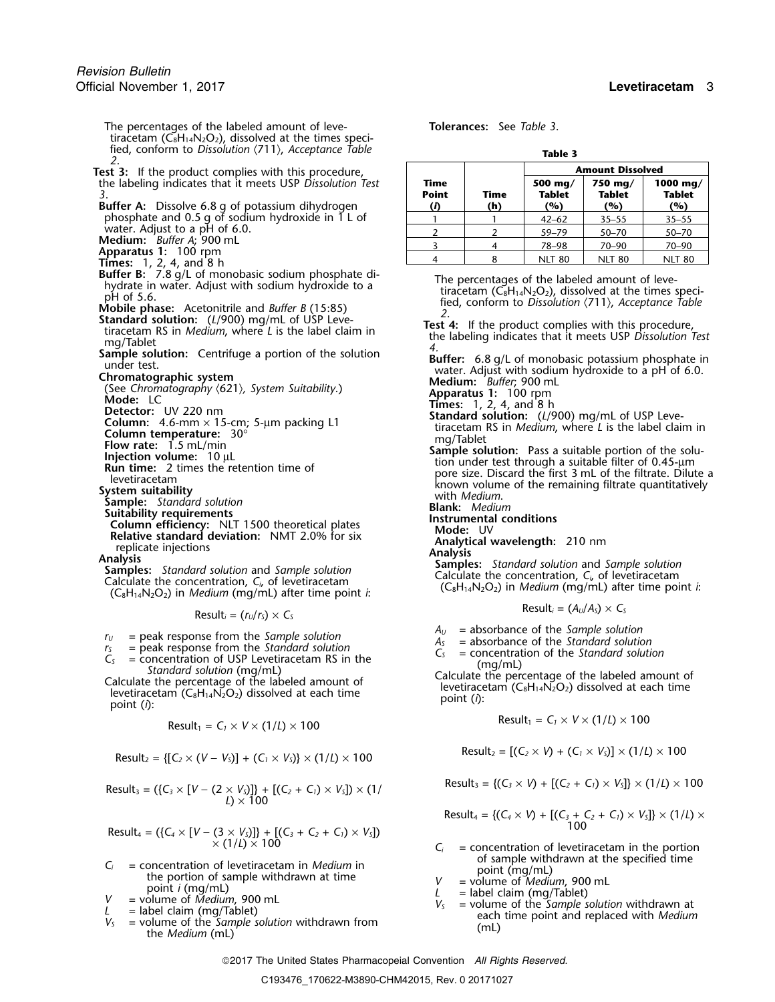The percentages of the labeled amount of leve- **Tolerances:** See *Table 3*. tiracetam ( $\check{C_8}H_{14}N_2O_2$ ), dissolved at the times specified, conform to *Dissolution*  $\langle 711 \rangle$ , *Acceptance Table* **Table** 3 Test 3: If the product complies with this procedure, **the labeling indicates that it meets USP Dissolution Test** *3*. **Point Time Tablet Tablet Tablet Buffer A:** Dissolve 6.8 g of potassium dihydrogen **(***i***) (h) (%) (%) (%)** phosphate and 0.5 g of sodium hydroxide in 1 L of  $\qquad \qquad | \qquad 1 \qquad | \qquad 1 \qquad | \qquad 42–62  $\qquad | \quad 35–55  $\qquad | \quad 35–55$$$ water. Adjust to a pH of 6.0.<br> **Medium:** *Buffer A*; 900 mL<br> **Apparatus 1:** 100 rpm<br> **Times:** 1, 2, 4, and 8 h<br> **Buffer B:** 7.8 g/L of monobasic sodium phosphate di-Buffer B: 7.8 g/L of monobaic sodium phosphate di-<br>
and the abeled amount of love-<br>
phydrace in water. Adjust with sodium hydroxide to a<br>
phydrace in tiracetam (CaH<sub>14</sub>N-O<sub>2</sub>) dissolved at the times speci-<br>
phydrace in Sec

 $Result_i = (r_U/r_S) \times C_S$ 

- $r_U$  = peak response from the *Sample solution*<br>  $r_S$  = peak response from the *Standard solution*<br>  $r_S$  = concentration of the *Standard solution*<br>  $r_S$  = concentration of the *Standard solution*
- 
- $C_5$  = peak response from the *Standard solution*<br>  $C_5$  = concentration of USP Levetiracetam RS in the<br> *Standard solution* (mg/mL)<br>
Calculate the percentage of the labeled amount of<br>
Laculate the percentage of the labe

$$
Result_1 = C_1 \times V \times (1/L) \times 100
$$
\n
$$
Result_1 = C_1 \times V \times (1/L) \times 100
$$

Result<sub>2</sub> = {[
$$
C_2 \times (V - V_s)
$$
] + ( $C_1 \times V_s$ )}  $\times$  (1/*L*)  $\times$  100

$$
Result_3 = (\{C_3 \times [V - (2 \times V_3)]\} + [(C_2 + C_1) \times V_3]) \times (1)
$$
\n
$$
Result_3 = \{(C_3 \times V) + [(C_2 + C_1) \times V_3]\} \times (1/l) \times 100
$$
\n
$$
Count_3 = \{(C_3 \times V) + [(C_2 + C_1) \times V_3]\} \times (1/l) \times 100
$$

$$
Result_4 = (\{C_4 \times [V - (3 \times V_5)]\} + [(C_3 + C_2 + C_1) \times V_5])
$$
\n
$$
\times (1/L) \times 100
$$
\n
$$
C_i = concentration of level
$$

- $V_s$  = concentration of levetiracetam in *Medium* in<br>
the portion of sample withdrawn at time<br>
point *i* (mg/mL)<br>  $V =$  volume of *Medium*, 900 mL<br>  $V_s$  = label claim (mg/Tablet)<br>  $V_s$  = volume of the *Sample solution* wit
- 
- 
- 

| lab |  |
|-----|--|
|     |  |

|                             |             | <b>Amount Dissolved</b>         |                                 |                                  |  |  |  |
|-----------------------------|-------------|---------------------------------|---------------------------------|----------------------------------|--|--|--|
| Time<br><b>Point</b><br>(i) | Time<br>(h) | 500 mg/<br><b>Tablet</b><br>(%) | 750 mg/<br><b>Tablet</b><br>(%) | 1000 mg/<br><b>Tablet</b><br>(%) |  |  |  |
|                             |             | $42 - 62$                       | $35 - 55$                       | $35 - 55$                        |  |  |  |
|                             |             | $59 - 79$                       | $50 - 70$                       | $50 - 70$                        |  |  |  |
|                             |             | 78-98                           | $70 - 90$                       | $70 - 90$                        |  |  |  |
|                             |             |                                 | 80                              | 80                               |  |  |  |

- 
- 

$$
Result_i = (A_{ij}/A_{s}) \times C_{s}
$$

- 
- 

$$
Result_1 = C_1 \times V \times (1/L) \times 100
$$

 $R \text{esult}_2 = [ (C_2 \times V) + (C_1 \times V_5) ] \times (1/L) \times 100$ <br>Result<sub>2</sub> = [ $(C_2 \times V) + (C_1 \times V_5)$ ] × (1/*L*) × 100

$$
Result_3 = \{(C_3 \times V) + [(C_2 + C_1) \times V_5] \} \times (1/L) \times 100
$$

Result<sub>4</sub> = {
$$
(C_4 \times V)
$$
 + [ $(C_3 + C_2 + C_1) \times V_3$ ]  $\times$  (1/*L*)  $\times$   
100

- $C_i$  = concentration of levetiracetam in the portion of sample withdrawn at the specified time
- 
- 
- 

2017 The United States Pharmacopeial Convention *All Rights Reserved.*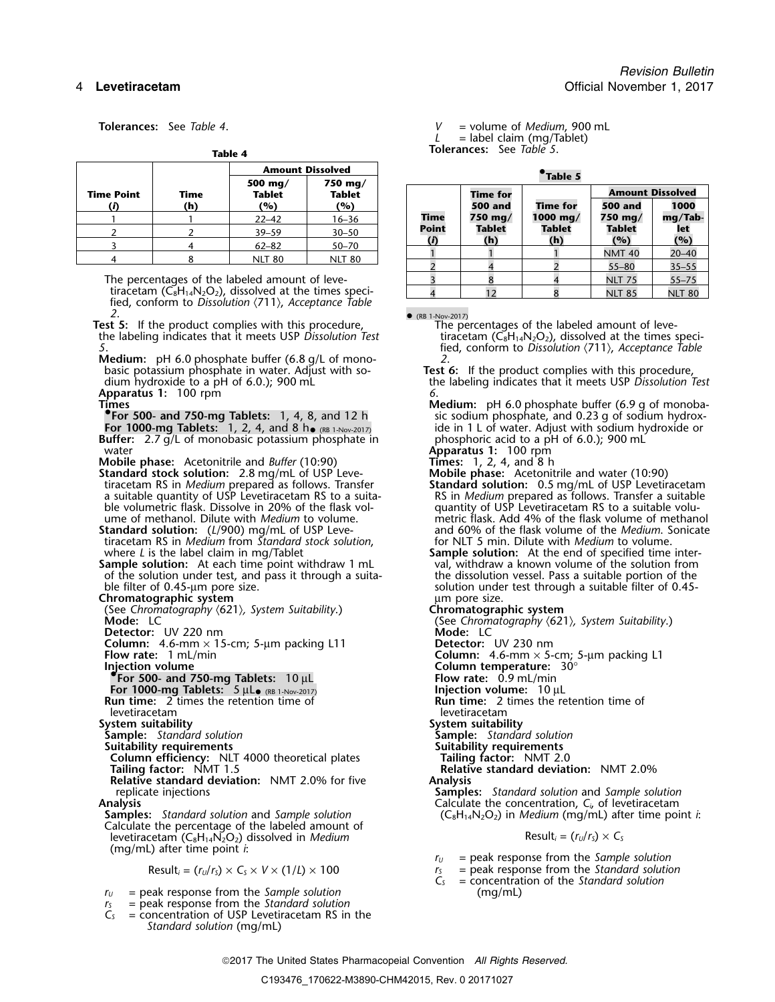|                   |             | Table 4                         |                          |             |                     |                        |                                    |                   |
|-------------------|-------------|---------------------------------|--------------------------|-------------|---------------------|------------------------|------------------------------------|-------------------|
|                   |             |                                 | <b>Amount Dissolved</b>  |             |                     | <i><b>*Table 5</b></i> |                                    |                   |
| <b>Time Point</b> | Time<br>(h) | 500 mg/<br><b>Tablet</b><br>(%) | 750 mg/<br>Tablet<br>(%) |             | Time for<br>500 and | Time for               | <b>Amount Dissolved</b><br>500 and | 1000              |
|                   |             | $22 - 42$                       | $16 - 36$                | <b>Time</b> | 750 mg/             | 1000 mg/               | 750 mg/                            | mg/Ta             |
|                   |             | $39 - 59$                       | $30 - 50$                | Point       | Tablet              | Tablet                 | Tablet                             | let               |
|                   |             | $62 - 82$                       | $50 - 70$                |             | (h)                 | (h)                    | (%)                                | (%)               |
|                   |             | <b>NLT 80</b>                   | <b>NLT 80</b>            |             |                     |                        | <b>NMT 40</b><br>-- --             | $20 - 40$<br>---- |

The percentages of the labeled amount of levetiracetam  $(C_8H_{14}N_2O_2)$ , dissolved at the times specified, conform to *Dissolution* 〈711〉, *Acceptance Table*

*2*. •**Test 5:** If the product complies with this procedure, The percentages of the labeled amount of leve-<br>tiracetam (C<sub>8</sub>H<sub>14</sub>N<sub>2</sub>O<sub>2</sub>), dissolved at the times speci-<br>tiracetam (C<sub>8</sub>H<sub>14</sub>N<sub>2</sub>O<sub>2</sub>), dissolved at the times speci the labeling indicates that it meets USP *Dissolution Test* 

**Medium:** pH 6.0 phosphate buffer (6.8 g/L of mono-<br>basic potassium phosphate in water. Adjust with so-**Apparatus 1:** 100 rpm *6*.

**For 1000-mg Tablets:** 1, 2, 4, and 8 h•**Buffer:** 2.7 g/L of monobasic potassium phosphate in phosphoric acid to a pH of 6.0.); 900 mL

**Mobile phase:** Acetonitrile and *Buffer* (10:90)

water<br> **Apparatus 1:** 100 rpm<br> **Apparatus 1:** 100 rpm<br> **Apparatus 1:** 100 rpm<br> **Apparatus 1:** 100 rpm<br> **Apparatus 1:** 100 rpm<br> **Apparatus 1:** 100 rpm<br> **Apparatus 1:** 100 rpm<br> **Apparatus 1:** 100 rpm<br> **Apparatus 1:** 100 rpm<br> **Standard stock solution:** 2.8 mg/mL of USP Leve-<br>tiracetam RS in *Medium* prepared as follows. Transfer<br>**Standard solution:** 0.5 mg/mL of USP Levetiracetam tiracetam RS in *Medium* prepared as follows. Transfer **Standard solution:** 0.5 mg/mL of USP Levetiracetam a suitable quantity of USP Levetiracetam RS to a suita- RS in *Medium* prepared as follows. Transfer a suitable a suitable quantity of USP Levetiracetam RS to a suita-<br>ble volumetric flask. Dissolve in 20% of the flask vol-<br>ume of methanol. Dilute with *Medium* to volume.<br>metric flask. Add 4% of the flask volume of methanol

tiracetam RS in *Medium* from *Standard stock solution*,

of the solution under test, and pass it through a suita-<br>ble filter of 0.45-µm pore size.

**Chromatographic system**<br>
(See Chromatography (621), System Suitability.) **Chromatographic system** (See Chromatography  $\langle 621 \rangle$ , System Suitability.) **Mode:** LC

**Detector:** UV 220 nm

**Column:** 4.6-mm × 15-cm; 5-µm packing L11 **Detector:** UV 230 nm<br>**Flow rate:** 1 mL/min **Detector:** Column: 4.6-mm × 5-

**For 1000-mg Tablets:**  $5 \mu L_{\bullet (RB 1-Nov-2017)}$ <br>**Run time:** 2 times the retention time of

levetiracetam levetiracetam

**Sample:** *Standard solution* **Sample:** *Standard solution*

**System suitability**<br> **System suitability**<br> **Sample:** Standard solution<br> **Suitability requirements**<br> **Suitability requirements Suitability requirements Suitability requirements**

**Column efficiency:** NLT 4000 theoretical plates **Tailing factor:** NMT 2.0

**Relative standard deviation:** NMT 2.0% for five replicate injections

Calculate the percentage of the labeled amount of levetiracetam  $(C_8H_{14}N_2O_2)$  dissolved in *Medium* Result<sub>i</sub> =  $(r_0/r_s) \times C_5$ (mg/mL) after time point *i*:

$$
Result_i = (r_U/r_S) \times C_S \times V \times (1/L) \times 100
$$

*<sup>r</sup><sup>U</sup>* = peak response from the *Sample solution* (mg/mL)

 $r_s$  = peak response from the *Standard solution*  $C_s$  = concentration of USP Levetiracetam RS in

= concentration of USP Levetiracetam RS in the *Standard solution* (mg/mL)

**Tolerances:** See *Table 4*. *V* = volume of *Medium*, 900 mL  $L =$  label claim (mg/Tablet) **Tolerances:** See *Table 5*. **Table 4**

|                                               |             | 500 mg/                                                        | 750 mg/              |                    |                            |               |                                    |               |  |  |  |
|-----------------------------------------------|-------------|----------------------------------------------------------------|----------------------|--------------------|----------------------------|---------------|------------------------------------|---------------|--|--|--|
| : Point<br>(i)                                | Time<br>(h) | Tablet<br>(%)                                                  | <b>Tablet</b><br>(%) |                    | Time for<br><b>500 and</b> | Time for      | <b>Amount Dissolved</b><br>500 and | 1000          |  |  |  |
|                                               |             | $22 - 42$                                                      | 16–36                | <b>Time</b>        | 750 mg/                    | 1000 mg/      | 750 mg/                            | mg/Tab-       |  |  |  |
|                                               |             | $39 - 59$                                                      | $30 - 50$            | <b>Point</b>       | <b>Tablet</b>              | <b>Tablet</b> | <b>Tablet</b>                      | let           |  |  |  |
|                                               |             | $62 - 82$                                                      | $50 - 70$            | $\mathbf{\hat{n}}$ | (h)                        | (h)           | (%)                                | (%)           |  |  |  |
| 4                                             |             | <b>NLT 80</b>                                                  | <b>NLT 80</b>        |                    |                            |               | <b>NMT 40</b>                      | $20 - 40$     |  |  |  |
|                                               |             |                                                                |                      |                    |                            |               | $55 - 80$                          | $35 - 55$     |  |  |  |
| he percentages of the labeled amount of leve- |             |                                                                |                      |                    |                            |               | <b>NLT 75</b>                      | $55 - 75$     |  |  |  |
|                                               |             | tiracetam ( $C_8H_{14}N_2O_2$ ), dissolved at the times speci- |                      |                    |                            |               | <b>NLT 85</b>                      | <b>NLT 80</b> |  |  |  |

• (RB 1-Nov-2017)<br>The percentages of the labeled amount of leve-*5*. fied, conform to *Dissolution* 〈711〉, *Acceptance Table*

Test 6: If the product complies with this procedure, dium hydroxide to a pH of 6.0.); 900 mL the labeling indicates that it meets USP *Dissolution Test*

**Times 19.15 Times Medium:** pH 6.0 phosphate buffer (6.9 g of monoba-<br>**•• For 500- and 750-mg Tablets:** 1, 4, 8, and 12 h sic sodium phosphate, and 0.23 g of sodium hydrox-**For 500- and 750-mg Tablets:** 1, 4, 8, and 12 h sic sodium phosphate, and 0.23 g of sodium hydroxide in 1 L of water. Adjust with sodium hydroxide or phosphoric acid to a pH of 6.0.); 900 mL

- metric flask. Add 4% of the flask volume of methanol **Standard solution:** (*L*/900) mg/mL of USP Leve-<br>
tiracetam RS in *Medium* from *Standard stock solution*, 
for NLT 5 min. Dilute with *Medium* to volume.
- where *L* is the label claim in mg/Tablet **Sample solution:** At the end of specified time inter-<br> **Sample solution:** At each time point withdraw 1 mL val, withdraw a known volume of the solution from **Sample solution:** At each time point withdraw 1 mL val, withdraw a known volume of the solution from of the solution under test, and pass it through a suita-<br>the dissolution vessel. Pass a suitable portion of the solution under test through a suitable filter of 0.45-

**Mode:** LC (See *Chromatography* 〈621〉*, System Suitability*.)

**Column:** 4.6-mm × 5-cm; 5-µm packing L1<br>**Column temperature:** 30°

- **Injection volume Column temperature:** 30° **•.For 500- and 750-mg Tablets:** 10 µL **Flow rate:** 0.9 mL/min
	- Flow rate: 0.9 mL/min<br>Injection volume: 10 µL
	- **Run time:** 2 times the retention time of

- 
- 

**Tailing factor:** NMT 1.5 **Relative standard deviation:** NMT 2.0%

**Samples:** *Standard solution* and *Sample solution* Analysis<br> **Analysis** Calculate the concentration, *C<sub>i</sub>*, of levetiracetam<br>
(C<sub>8</sub>H<sub>14</sub>N<sub>2</sub>O<sub>2</sub>) in *Medium* (mg/mL) after time poi **Samples:** *Standard solution* and *Sample solution* (C8H14N2O2) in *Medium* (mg/mL) after time point *i*:

- *<sup>r</sup><sup>U</sup>* = peak response from the *Sample solution*
- $r_s =$  peak response from the *Standard solution*<br> $C_s =$  concentration of the *Standard solution*
- *C<sup>S</sup>* = concentration of the *Standard solution*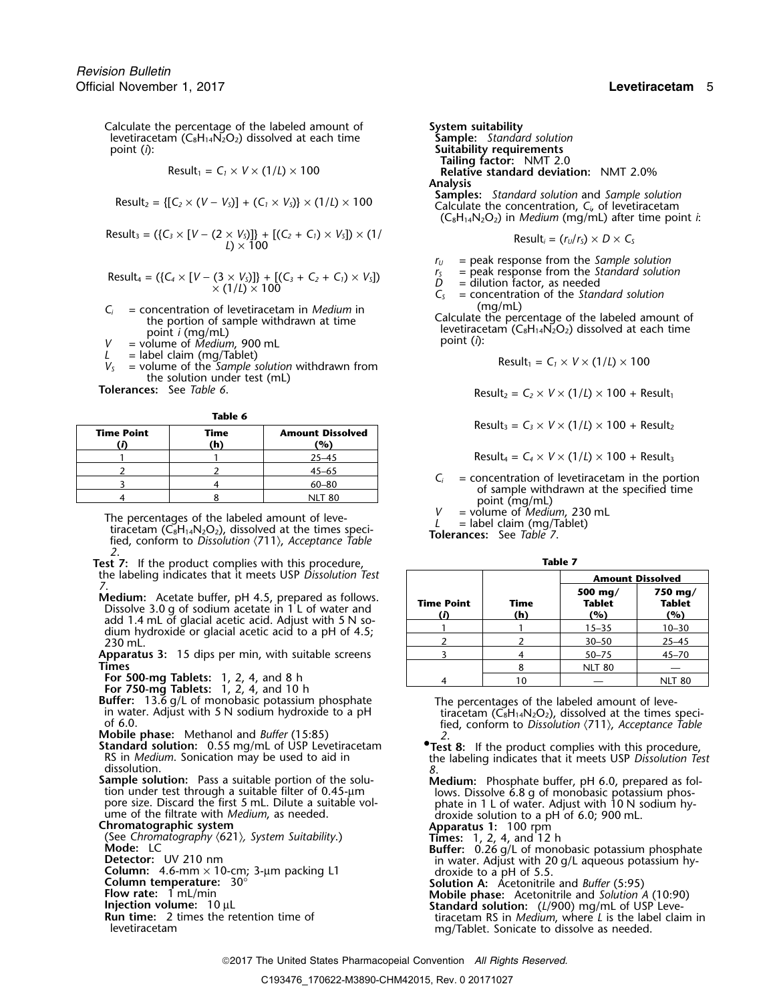Calculate the percentage of the labeled amount of **System suitability**<br>levetiracetam (C<sub>8</sub>H<sub>14</sub>N<sub>2</sub>O<sub>2</sub>) dissolved at each time **Sample:** Standard solution levetiracetam  $(C_8H_{14}N_2O_2)$  dissolved at each time point (*i*):

$$
Result_1 = C_1 \times V \times (1/L) \times 100
$$

$$
Result_2 = \{ [C_2 \times (V - V_5)] + (C_1 \times V_5) \} \times (1/L) \times 100
$$

$$
Result_3 = (\{C_3 \times [V - (2 \times V_5)]\} + [(C_2 + C_1) \times V_5]) \times (1/\n\qquad \qquad \text{Result}_i = (r_U/r_S) \times D \times C_5
$$

$$
Result_4 = (\{C_4 \times [V - (3 \times V_5)]\} + [(C_3 + C_2 + C_1) \times V_5])
$$
  
 
$$
\times (1/L) \times 100
$$

- $C_i$  = concentration of levetiracetam in *Medium* in (mg/mL)<br>the portion of sample withdrawn at time<br>point *i* (mg/mL)<br> $V$  = volume of *Medium*, 900 mL and time<br>point *i* (ng/mL)<br>point (*i*):
- 
- 
- *L* = label claim (mg/Tablet)<br>*V<sub>S</sub>* = volume of the *Sample solution* withdrawn from the solution under test (mL)<br>Tolerances: See Table 6.

| M.<br>٠ |  |
|---------|--|
|---------|--|

| <b>Time Point</b> | Time<br>'n | <b>Amount Dissolved</b><br>(%) |
|-------------------|------------|--------------------------------|
|                   |            | $25 - 45$                      |
|                   |            | $45 - 65$                      |
|                   |            | $60 - 80$                      |
|                   |            |                                |

The percentages of the labeled amount of leve-<br>tiracetam (C<sub>8</sub>H<sub>14</sub>N<sub>2</sub>O<sub>2</sub>), dissolved at the times speci-<br>fied, conform to Dissolution  $\langle 711 \rangle$ , Acceptance Table<br>**Tolerances:** See Table 7. *2*.

- **Test 7:** If the product complies with this procedure, **Table 7** the labeling indicates that it meets USP Dissolution Test
- **Medium:** Acetate buffer, pH 4.5, prepared as follows.<br>Dissolve 3.0 g of sodium acetate in 1 L of water and<br>add 1.4 mL of glacial acetic acid. Adjust with 5 N so-<br>dium hydroxide or glacial acetic acid to a pH of 4.5;<br>230 m
- Apparatus 3: 15 dips per min, with suitable screens<br>Times
- 
- 
- 
- 
- dissolution. *8*.
- **Sample solution:** Pass a suitable portion of the solu-<br>
tion under test through a suitable filter of 0.45-µm lows. Dissolve 6.8 g of monobasic potassium phos-<br>
pore size. Discard the first 5 mL. Dilute a suitable vol-<br>
ph

- 
- 
- 
- 
- 
- 

point (*i*): **Suitability requirements Tailing factor:** NMT 2.0 **Relative standard deviation:** NMT 2.0% Analysis<br>Samples: Standard solution and Sample solution Calculate the concentration,  $C_i$ , of levetiracetam  $(C_8H_{14}N_2O_2)$  in *Medium* (mg/mL) after time point *i*:

$$
Result_i = (r_U/r_S) \times D \times C_S
$$

*<sup>r</sup><sup>U</sup>* = peak response from the *Sample solution*

- $r_s$  = peak response from the Standard solution<br>  $D =$  dilution factor, as needed<br>  $C_s =$  concentration of the Standard solution
- 
- 

$$
Result_1 = C_1 \times V \times (1/L) \times 100
$$

 $\text{Result}_2 = C_2 \times V \times (1/L) \times 100 + \text{Result}_1$ 

 $Result_3 = C_3 \times V \times (1/L) \times 100 + Result_2$ 

 $Result_4 = C_4 \times V \times (1/L) \times 100 + Result_3$ 

 $C_i$  = concentration of levetiracetam in the portion of sample withdrawn at the specified time point (mg/mL)  $V$  = volume of *Medium*, 230 mL

| the labeling indicates that it meets USP Dissolution Test                                                       |                         |             | <b>Amount Dissolved</b>                        |                                 |
|-----------------------------------------------------------------------------------------------------------------|-------------------------|-------------|------------------------------------------------|---------------------------------|
| Medium: Acetate buffer, pH 4.5, prepared as follows.<br>Dissolve 3.0 g of sodium acetate in 1 L of water and    | <b>Time Point</b><br>(D | Time<br>(h) | 500 mg/<br>Tablet<br>(%)                       | 750 mg/<br><b>Tablet</b><br>(%) |
| add 1.4 mL of glacial acetic acid. Adjust with 5 N so-<br>dium hydroxide or glacial acetic acid to a pH of 4.5; |                         |             | $15 - 35$                                      | $10 - 30$                       |
| 230 mL.                                                                                                         |                         |             | $30 - 50$                                      | $25 - 45$                       |
| Apparatus 3: 15 dips per min, with suitable screens                                                             |                         |             | $50 - 75$                                      | $45 - 70$                       |
| Times                                                                                                           |                         |             | <b>NLT 80</b>                                  |                                 |
| For 500-mg Tablets: $1, 2, 4$ , and 8 h                                                                         |                         | 10          |                                                | <b>NLT 80</b>                   |
| For 750-mg Tablets: 1, 2, 4, and 10 h<br><b>Buffer:</b> 13.6 g/L of monobasic potassium phosphate               |                         |             | The percentages of the labeled amount of leve- |                                 |

in water. Adjust with 5 N sodium hydroxide to a pH<br>of 6.0.<br>Mobile phase: Methanol and *Buffer* (15:85)<br>Standard solution: 0.55 mg/mL of USP Levetiracetam<br>Standard solution: 0.55 mg/mL of USP Levetiracetam<br>Pest 8: If the p

**tandard solution:** 0.55 mg/mL of USP Levetiracetam<br>RS in *Medium*. Sonication may be used to aid in the labeling indicates that it meets USP Dissolution Test

- 
- 
- pore size. Discard the first 5 mL. Dilute a suitable volume in 1 L of water. Adjust with 10 N sodium hy-<br>
chromatographic system<br>
Chromatography (621), System Suitability.)<br>
Chromatography (621), System Suitability.)<br>
Colu
	-
	-

levetiracetam mg/Tablet. Sonicate to dissolve as needed.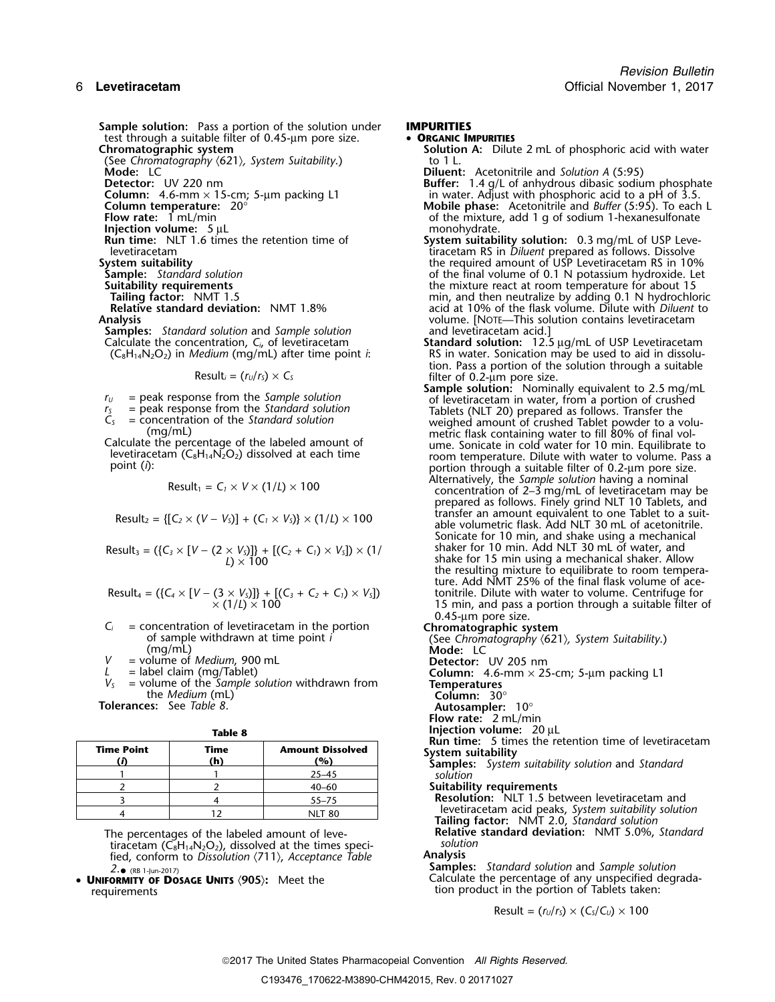**Sample solution:** Pass a portion of the solution under **IMPURITIES**<br>test through a suitable filter of 0.45-um pore size.<br>**• ORGANIC IMPURITIES** test through a suitable filter of 0.45-µm pore size.<br>**Chromatographic system** 

(See Chromatography  $\langle 621 \rangle$ , System Suitability.) **Mode:** LC **Mode:** LC **Diluent:** Acetonitrile and *Solution A* (5:95)<br> **Detector:** UV 220 nm

**Injection volume:** 5 µL<br>**Run time:** NLT 1.6 times the retention time of

**Samples:** *Standard solution* and *Sample solution* Calculate the concentration, C<sub>i</sub>, of levetiracetam

$$
Result_1 = C_1 \times V \times (1/L) \times 100
$$

$$
Result_2 = \{ [C_2 \times (V - V_5)] + (C_1 \times V_5) \} \times (1/L) \times 100
$$

Result<sub>3</sub> = (
$$
\{C_3 \times [V - (2 \times V_3)]\} + [(C_2 + C_1) \times V_3] \times (1 / L) \times 100
$$

Result<sub>4</sub> = (
$$
\{C_4 \times [V - (3 \times V_5)]\} + [(C_3 + C_2 + C_1) \times V_5]
$$
)  
× (1/L) × 100

 $C_i$  = concentration of levetiracetam in the portion<br>
of sample withdrawn at time point *i*<br>
(mg/mL)<br>  $V$  = volume of *Medium*, 900 mL<br>  $L$  = label claim (mg/Tablet)<br>  $C$ <br>  $V$  = label claim (mg/Tablet)<br>  $\frac{1}{2}$ <br>  $\frac{1}{2$ 

= volume of *Medium*, 900 mL<br>= label claim (mg/Tablet)

*L* = label claim (mg/Tablet) **Column:** 4.6-1<br> *V<sub>S</sub>* = volume of the *Sample solution* withdrawn from the *Medium* (mL) **Column:** 30°<br> **Tolerances:** See *Table 8*. **Autosampler:** 

| M.<br>۰. | ۰. |
|----------|----|
|----------|----|

| <b>Time Point</b> | Time<br>(h) | <b>Amount Dissolved</b><br>'%) |
|-------------------|-------------|--------------------------------|
|                   |             | $25 - 45$                      |
|                   |             | $40 - 60$                      |
|                   |             | $55 - 75$                      |
|                   |             | NII TRA                        |

The percentages of the labeled amount of leve-<br>**Relative standard of the limes standard of the times** speci-<br>Solution: Nation tiracetam (C<sub>8</sub>H<sub>14</sub>N<sub>2</sub>O<sub>2</sub>), dissolved at the times speci-<br>fied conform to Dissolution (711) Acceptance Table **Analysis** fied, conform to *Dissolution* 〈711〉, *Acceptance Table* **Analysis**

tion product in the portion of Tablets taken:

- - **Solution A:** Dilute 2 mL of phosphoric acid with water to 1 L.

**Detector:** UV 220 nm<br> **Buffer:** 1.4 g/L of anhydrous dibasic sodium phosphate<br> **Column temperature:** 20°<br> **Buffer:** 1.4 g/L of anhydrous dibasic sodium phosphate<br> **Mobile phase:** Acetonitrile and *Buffer* (5:95). To each **Column:** 4.6-mm × 15-cm; 5-µm packing L1 in water. Adjust with phosphoric acid to a pH of 3.5. **Column temperature:** 20° **Mobile phase:** Acetonitrile and *Buffer* (5:95). To each L

**Flow rate:** 1 mL/min of the mixture, add 1 g of sodium 1-hexanesulfonate injection volume: 5 µL

- **Run time:** NLT 1.6 times the retention time of **System suitability solution:** 0.3 mg/mL of USP Levelevetiracetam<br>Intervention of the contract of the required amount of USP Levetiracetam RS in 109<br>System suitability the required amount of USP Levetiracetam RS in 109 **System suitability**<br> **Sample:** Standard solution **Sample:** Standard solution **the required amount of USP Levetiracetam RS** in 10%<br>
of the final volume of 0.1 N potassium hydroxide. Let **Sample:** *Standard solution* of the final volume of 0.1 N potassium hydroxide. Let **uitability requirements**<br> **Suitably requirements** the mixture react at room temperature for about 15<br>
min, and then neutralize by adding 0.1 N hydrochlo **Tailing factor:** NMT 1.5 min, and then neutralize by adding 0.1 N hydrochloric<br>**Relative standard deviation:** NMT 1.8% acid at 10% of the flask volume. Dilute with *Diluent* to acid at 10% of the flask volume. Dilute with *Diluent* to **Analysis** volume. [NOTE—This solution contains levetiracetam
	- Calculate the concentration, *C<sub>i</sub>*, of levetiracetam **Standard solution:** 12.5 µg/mL of USP Levetiracetam (C<sub>8</sub>H<sub>14</sub>N<sub>2</sub>O<sub>2</sub>) in *Medium* (mg/mL) after time point *i*: RS in water. Sonication may be used to aid in dissolu (C8H14N2O2) in *Medium* (mg/mL) after time point *i*: RS in water. Sonication may be used to aid in dissolution. Pass a portion of the solution through a suitable Result*<sup>i</sup>* = (*<sup>r</sup>U*/*<sup>r</sup>S*) <sup>×</sup> *<sup>C</sup><sup>S</sup>* filter of 0.2-µm pore size.

**Sample solution:** Nominally equivalent to 2.5 mg/mL<br>of levetiracetam in water, from a portion of crushed of levetiracetam in water, from a portion of crushed  $r_5$  = peak response from the *Standard solution*<br>  $C_5$  = concentration of the *Standard solution*<br>
(mg/mL)<br>
Calculate the percentage of the labeled amount of<br>
Calculate the percentage of the labeled amount of<br>
levetira portion through a suitable filter of 0.2-µm pore size.<br>Alternatively, the Sample solution having a nominal concentration of 2–3 mg/mL of levetiracetam may be

prepared as follows. Finely grind NLT 10 Tablets, and transfer an amount equivalent to one Tablet to a suitable volumetric flask. Add NLT 30 mL of acetonitrile. Sonicate for 10 min, and shake using a mechanical shaker for 10 min. Add NLT 30 mL of water, and **Links** For 15 min using a mechanical shaker. Allow the resulting mixture to equilibrate to room temperature. Add NMT 25% of the final flask volume of ace-Result<sup>4</sup> = ({*C<sup>4</sup>* <sup>×</sup> [*V* <sup>−</sup> (3 <sup>×</sup> *VS*)]} + [(*C3*<sup>+</sup>*C2*<sup>+</sup>*C1*) <sup>×</sup> *VS*]) tonitrile. Dilute with water to volume. Centrifuge for 15 min, and pass a portion through a suitable filter of 0.45-µm pore size.

- 
- 
- 
- **Autosampler:** 10°
- **Flow rate:** 2 mL/min
- **Injection volume:** 20 µL

**Run time:** 5 times the retention time of levetiracetam **Time Point Time Amount Dissolved System suitability (***i***) (h) (%) Samples:** *System suitability solution* and *Standard*

solution

**Suitability requirements** 

**Resolution:** NLT 1.5 between levetiracetam and levetiracetam acid peaks, *System suitability solution*<br>Tailing factor: NMT 2.0, *Standard solution*<br>Relative standard deviation: NMT 5.0%, *Standard* 

*2*. **Samples:** *Standard solution* and *Sample solution* •(RB 1-Jun-2017) • **<sup>U</sup>NIFORMITY OF** Calculate the percentage of any unspecified degrada- **DOSAGE UNITS** 〈**905**〉**:** Meet the

$$
Result = (r_U/r_S) \times (C_S/C_U) \times 100
$$